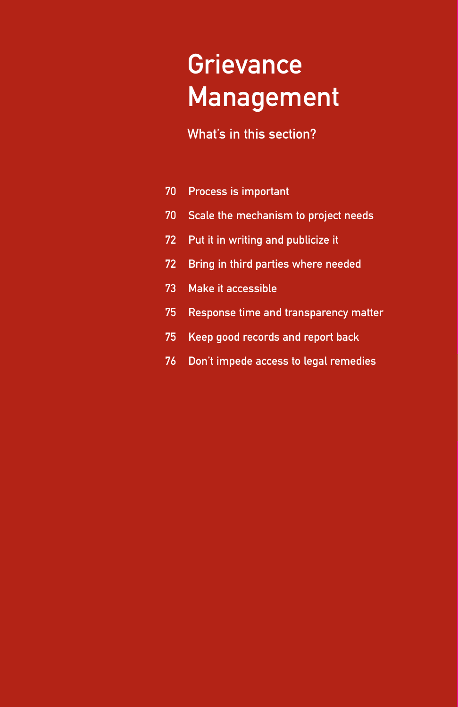# **Grievance** Management

### What's in this section?

- 70 Process is important
- 70 Scale the mechanism to project needs
- 72 Put it in writing and publicize it
- 72 Bring in third parties where needed
- 73 Make it accessible
- 75 Response time and transparency matter
- 75 Keep good records and report back
- 76 Don't impede access to legal remedies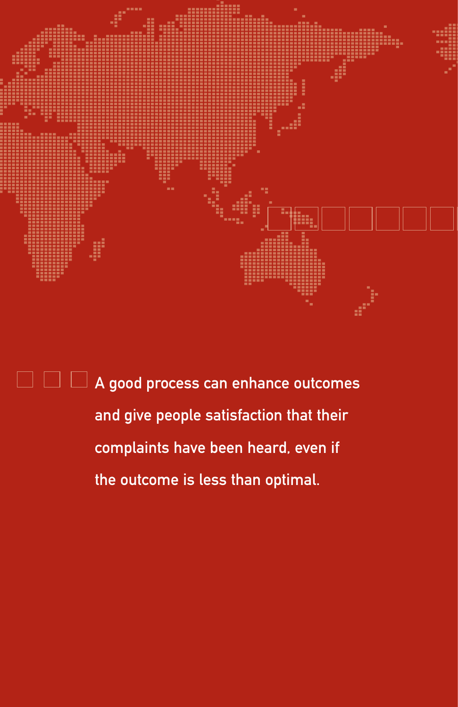

 $\Box$   $\Box$   $\Box$  A good process can enhance outcomes and give people satisfaction that their complaints have been heard, even if the outcome is less than optimal.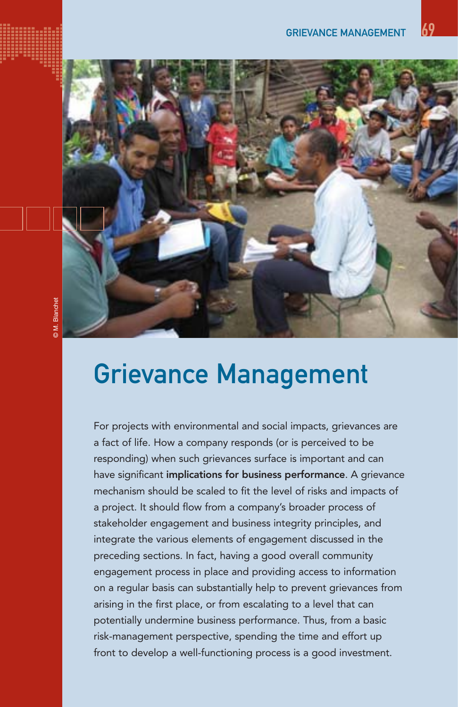

## Grievance Management

For projects with environmental and social impacts, grievances are a fact of life. How a company responds (or is perceived to be responding) when such grievances surface is important and can have significant implications for business performance. A grievance mechanism should be scaled to fit the level of risks and impacts of a project. It should flow from a company's broader process of stakeholder engagement and business integrity principles, and integrate the various elements of engagement discussed in the preceding sections. In fact, having a good overall community engagement process in place and providing access to information on a regular basis can substantially help to prevent grievances from arising in the first place, or from escalating to a level that can potentially undermine business performance. Thus, from a basic risk-management perspective, spending the time and effort up front to develop a well-functioning process is a good investment.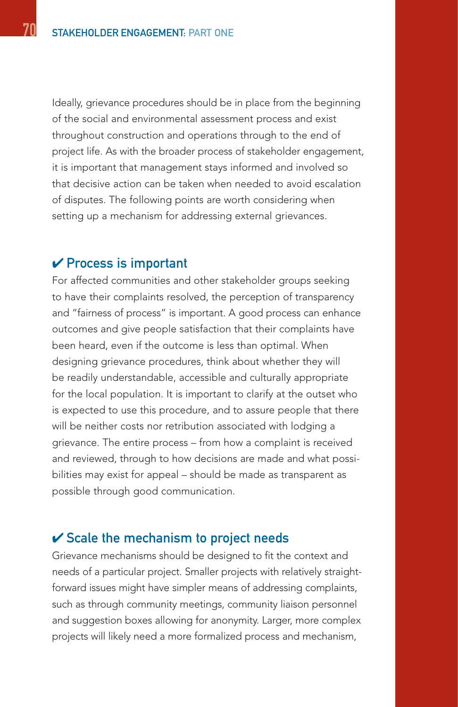Ideally, grievance procedures should be in place from the beginning of the social and environmental assessment process and exist throughout construction and operations through to the end of project life. As with the broader process of stakeholder engagement, it is important that management stays informed and involved so that decisive action can be taken when needed to avoid escalation of disputes. The following points are worth considering when setting up a mechanism for addressing external grievances.

#### $\vee$  Process is important

For affected communities and other stakeholder groups seeking to have their complaints resolved, the perception of transparency and "fairness of process" is important. A good process can enhance outcomes and give people satisfaction that their complaints have been heard, even if the outcome is less than optimal. When designing grievance procedures, think about whether they will be readily understandable, accessible and culturally appropriate for the local population. It is important to clarify at the outset who is expected to use this procedure, and to assure people that there will be neither costs nor retribution associated with lodging a grievance. The entire process – from how a complaint is received and reviewed, through to how decisions are made and what possibilities may exist for appeal – should be made as transparent as possible through good communication.

#### $\checkmark$  Scale the mechanism to project needs

Grievance mechanisms should be designed to fit the context and needs of a particular project. Smaller projects with relatively straightforward issues might have simpler means of addressing complaints, such as through community meetings, community liaison personnel and suggestion boxes allowing for anonymity. Larger, more complex projects will likely need a more formalized process and mechanism,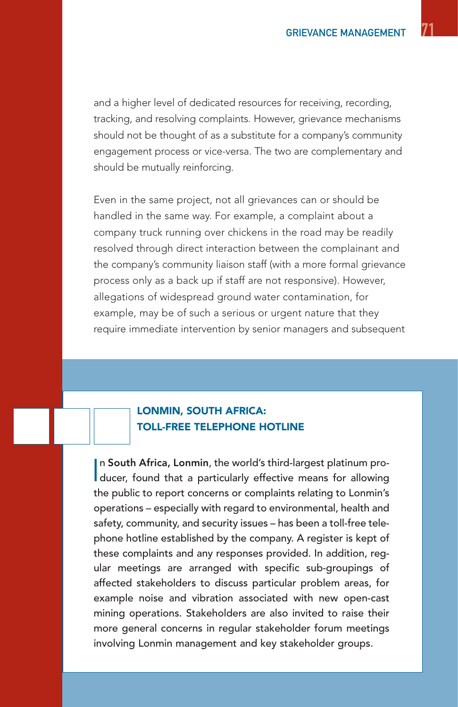and a higher level of dedicated resources for receiving, recording, tracking, and resolving complaints. However, grievance mechanisms should not be thought of as a substitute for a company's community engagement process or vice-versa. The two are complementary and should be mutually reinforcing.

Even in the same project, not all grievances can or should be handled in the same way. For example, a complaint about a company truck running over chickens in the road may be readily resolved through direct interaction between the complainant and the company's community liaison staff (with a more formal grievance process only as a back up if staff are not responsive). However, allegations of widespread ground water contamination, for example, may be of such a serious or urgent nature that they require immediate intervention by senior managers and subsequent

#### LONMIN, SOUTH AFRICA: TOLL-FREE TELEPHONE HOTLINE

In South Africa, Lonmin, the world's third-largest platinum producer, found that a particularly effective means for allowing n South Africa, Lonmin, the world's third-largest platinum prothe public to report concerns or complaints relating to Lonmin's operations – especially with regard to environmental, health and safety, community, and security issues – has been a toll-free telephone hotline established by the company. A register is kept of these complaints and any responses provided. In addition, regular meetings are arranged with specific sub-groupings of affected stakeholders to discuss particular problem areas, for example noise and vibration associated with new open-cast mining operations. Stakeholders are also invited to raise their more general concerns in regular stakeholder forum meetings involving Lonmin management and key stakeholder groups.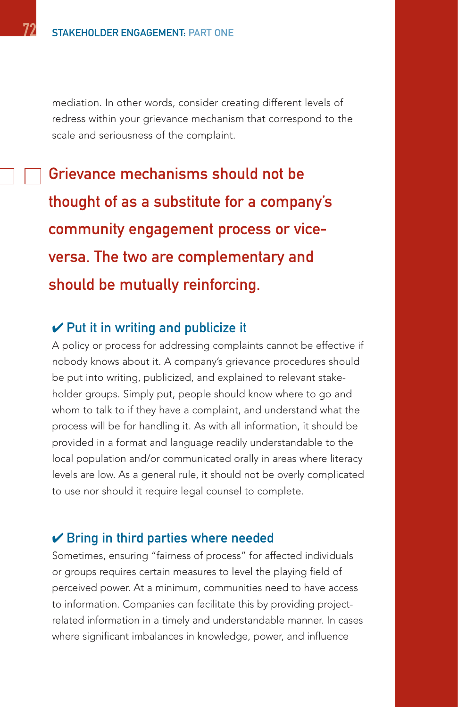mediation. In other words, consider creating different levels of redress within your grievance mechanism that correspond to the scale and seriousness of the complaint.

Grievance mechanisms should not be thought of as a substitute for a company's community engagement process or viceversa. The two are complementary and should be mutually reinforcing.

#### $\vee$  Put it in writing and publicize it

A policy or process for addressing complaints cannot be effective if nobody knows about it. A company's grievance procedures should be put into writing, publicized, and explained to relevant stakeholder groups. Simply put, people should know where to go and whom to talk to if they have a complaint, and understand what the process will be for handling it. As with all information, it should be provided in a format and language readily understandable to the local population and/or communicated orally in areas where literacy levels are low. As a general rule, it should not be overly complicated to use nor should it require legal counsel to complete.

#### $\vee$  Bring in third parties where needed

Sometimes, ensuring "fairness of process" for affected individuals or groups requires certain measures to level the playing field of perceived power. At a minimum, communities need to have access to information. Companies can facilitate this by providing projectrelated information in a timely and understandable manner. In cases where significant imbalances in knowledge, power, and influence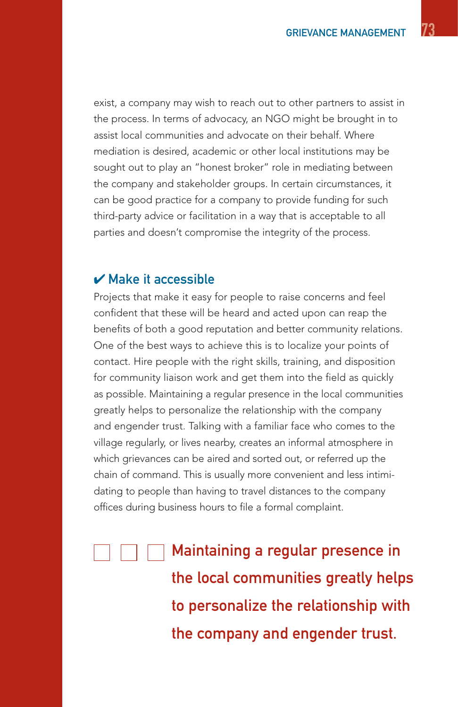exist, a company may wish to reach out to other partners to assist in the process. In terms of advocacy, an NGO might be brought in to assist local communities and advocate on their behalf. Where mediation is desired, academic or other local institutions may be sought out to play an "honest broker" role in mediating between the company and stakeholder groups. In certain circumstances, it can be good practice for a company to provide funding for such third-party advice or facilitation in a way that is acceptable to all parties and doesn't compromise the integrity of the process.

#### $\boldsymbol{\nu}$  Make it accessible

Projects that make it easy for people to raise concerns and feel confident that these will be heard and acted upon can reap the benefits of both a good reputation and better community relations. One of the best ways to achieve this is to localize your points of contact. Hire people with the right skills, training, and disposition for community liaison work and get them into the field as quickly as possible. Maintaining a regular presence in the local communities greatly helps to personalize the relationship with the company and engender trust. Talking with a familiar face who comes to the village regularly, or lives nearby, creates an informal atmosphere in which grievances can be aired and sorted out, or referred up the chain of command. This is usually more convenient and less intimidating to people than having to travel distances to the company offices during business hours to file a formal complaint.

Maintaining a regular presence in the local communities greatly helps to personalize the relationship with the company and engender trust.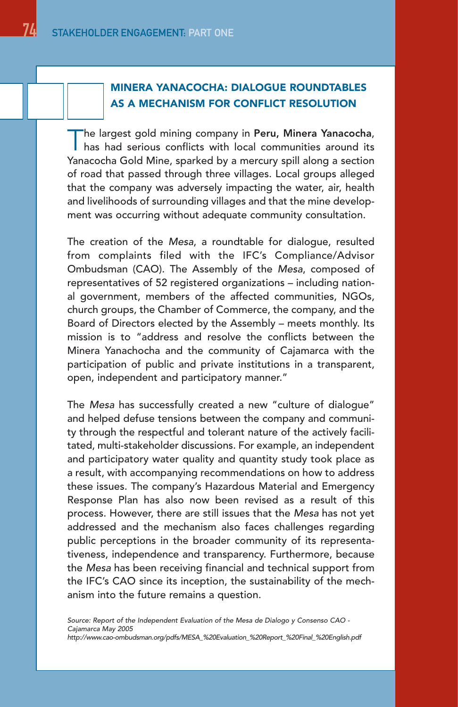#### MINERA YANACOCHA: DIALOGUE ROUNDTABLES AS A MECHANISM FOR CONFLICT RESOLUTION

The largest gold mining company in Peru, Minera Yanacocha, has had serious conflicts with local communities around its Yanacocha Gold Mine, sparked by a mercury spill along a section of road that passed through three villages. Local groups alleged that the company was adversely impacting the water, air, health and livelihoods of surrounding villages and that the mine development was occurring without adequate community consultation.

The creation of the Mesa, a roundtable for dialogue, resulted from complaints filed with the IFC's Compliance/Advisor Ombudsman (CAO). The Assembly of the Mesa, composed of representatives of 52 registered organizations – including national government, members of the affected communities, NGOs, church groups, the Chamber of Commerce, the company, and the Board of Directors elected by the Assembly – meets monthly. Its mission is to "address and resolve the conflicts between the Minera Yanachocha and the community of Cajamarca with the participation of public and private institutions in a transparent, open, independent and participatory manner."

The Mesa has successfully created a new "culture of dialogue" and helped defuse tensions between the company and community through the respectful and tolerant nature of the actively facilitated, multi-stakeholder discussions. For example, an independent and participatory water quality and quantity study took place as a result, with accompanying recommendations on how to address these issues. The company's Hazardous Material and Emergency Response Plan has also now been revised as a result of this process. However, there are still issues that the Mesa has not yet addressed and the mechanism also faces challenges regarding public perceptions in the broader community of its representativeness, independence and transparency. Furthermore, because the Mesa has been receiving financial and technical support from the IFC's CAO since its inception, the sustainability of the mechanism into the future remains a question.

Source: Report of the Independent Evaluation of the Mesa de Dialogo y Consenso CAO - Cajamarca May 2005 http://www.cao-ombudsman.org/pdfs/MESA\_%20Evaluation\_%20Report\_%20Final\_%20English.pdf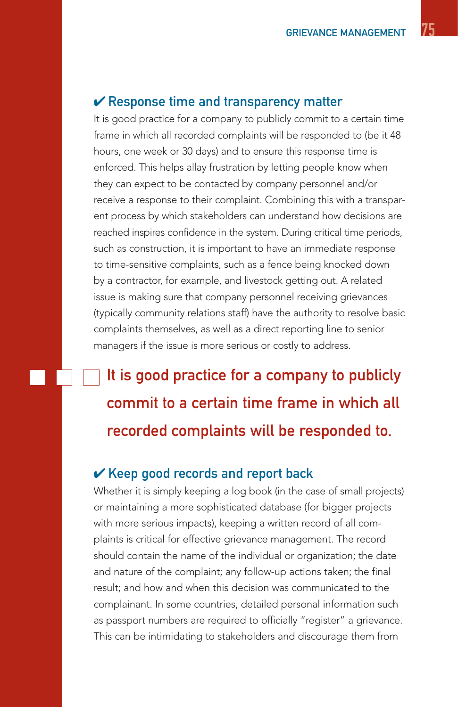#### $\mathcal V$  Response time and transparency matter

It is good practice for a company to publicly commit to a certain time frame in which all recorded complaints will be responded to (be it 48 hours, one week or 30 days) and to ensure this response time is enforced. This helps allay frustration by letting people know when they can expect to be contacted by company personnel and/or receive a response to their complaint. Combining this with a transparent process by which stakeholders can understand how decisions are reached inspires confidence in the system. During critical time periods, such as construction, it is important to have an immediate response to time-sensitive complaints, such as a fence being knocked down by a contractor, for example, and livestock getting out. A related issue is making sure that company personnel receiving grievances (typically community relations staff) have the authority to resolve basic complaints themselves, as well as a direct reporting line to senior managers if the issue is more serious or costly to address.

It is good practice for a company to publicly commit to a certain time frame in which all recorded complaints will be responded to.

#### $\vee$  Keep good records and report back

Whether it is simply keeping a log book (in the case of small projects) or maintaining a more sophisticated database (for bigger projects with more serious impacts), keeping a written record of all complaints is critical for effective grievance management. The record should contain the name of the individual or organization; the date and nature of the complaint; any follow-up actions taken; the final result; and how and when this decision was communicated to the complainant. In some countries, detailed personal information such as passport numbers are required to officially "register" a grievance. This can be intimidating to stakeholders and discourage them from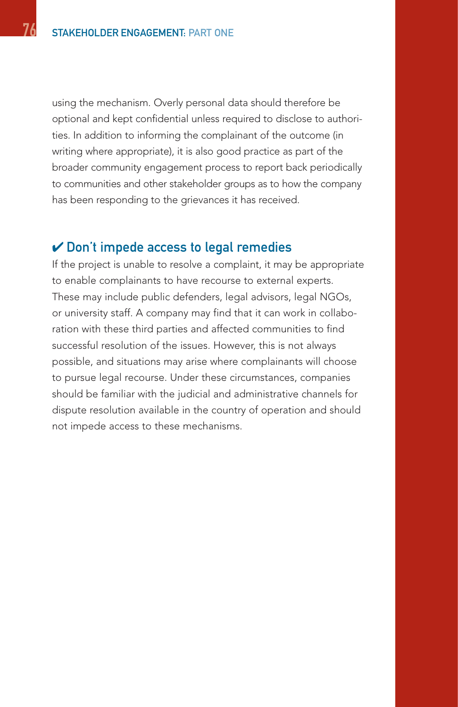using the mechanism. Overly personal data should therefore be optional and kept confidential unless required to disclose to authorities. In addition to informing the complainant of the outcome (in writing where appropriate), it is also good practice as part of the broader community engagement process to report back periodically to communities and other stakeholder groups as to how the company has been responding to the grievances it has received.

#### $\vee$  Don't impede access to legal remedies

If the project is unable to resolve a complaint, it may be appropriate to enable complainants to have recourse to external experts. These may include public defenders, legal advisors, legal NGOs, or university staff. A company may find that it can work in collaboration with these third parties and affected communities to find successful resolution of the issues. However, this is not always possible, and situations may arise where complainants will choose to pursue legal recourse. Under these circumstances, companies should be familiar with the judicial and administrative channels for dispute resolution available in the country of operation and should not impede access to these mechanisms.